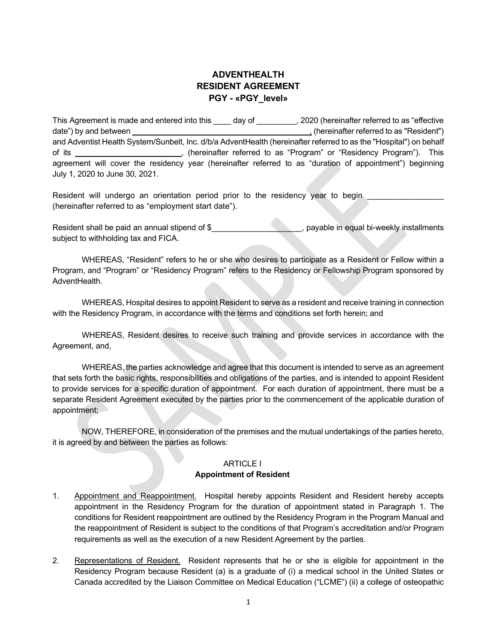# ADVENTHEALTH RESIDENT AGREEMENT PGY - «PGY\_level»

This Agreement is made and entered into this \_\_\_\_ day of \_\_\_\_\_\_\_\_, 2020 (hereinafter referred to as "effective date") by and between **the set of the set of the set of the set of the set of the set of the set of the set of t** and Adventist Health System/Sunbelt, Inc. d/b/a AdventHealth (hereinafter referred to as the "Hospital") on behalf of its \_\_\_\_\_\_\_\_\_\_\_\_\_\_\_\_\_\_\_\_\_\_\_\_, (hereinafter referred to as "Program" or "Residency Program"). This agreement will cover the residency year (hereinafter referred to as "duration of appointment") beginning July 1, 2020 to June 30, 2021.

Resident will undergo an orientation period prior to the residency year to begin (hereinafter referred to as "employment start date").

Resident shall be paid an annual stipend of \$\_\_\_\_\_\_\_\_\_\_\_\_\_\_\_\_\_\_\_, payable in equal bi-weekly installments subject to withholding tax and FICA.

 WHEREAS, "Resident" refers to he or she who desires to participate as a Resident or Fellow within a Program, and "Program" or "Residency Program" refers to the Residency or Fellowship Program sponsored by AdventHealth.

 WHEREAS, Hospital desires to appoint Resident to serve as a resident and receive training in connection with the Residency Program, in accordance with the terms and conditions set forth herein; and

 WHEREAS, Resident desires to receive such training and provide services in accordance with the Agreement, and,

 WHEREAS, the parties acknowledge and agree that this document is intended to serve as an agreement that sets forth the basic rights, responsibilities and obligations of the parties, and is intended to appoint Resident to provide services for a specific duration of appointment. For each duration of appointment, there must be a separate Resident Agreement executed by the parties prior to the commencement of the applicable duration of appointment;

 NOW, THEREFORE, in consideration of the premises and the mutual undertakings of the parties hereto, it is agreed by and between the parties as follows:

#### **ARTICLE I**

#### Appointment of Resident

- 1. Appointment and Reappointment. Hospital hereby appoints Resident and Resident hereby accepts appointment in the Residency Program for the duration of appointment stated in Paragraph 1. The conditions for Resident reappointment are outlined by the Residency Program in the Program Manual and the reappointment of Resident is subject to the conditions of that Program's accreditation and/or Program requirements as well as the execution of a new Resident Agreement by the parties.
- 2. Representations of Resident. Resident represents that he or she is eligible for appointment in the Residency Program because Resident (a) is a graduate of (i) a medical school in the United States or Canada accredited by the Liaison Committee on Medical Education ("LCME") (ii) a college of osteopathic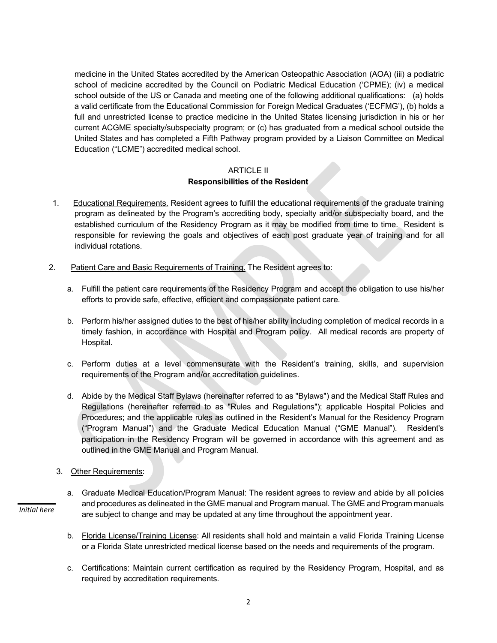medicine in the United States accredited by the American Osteopathic Association (AOA) (iii) a podiatric school of medicine accredited by the Council on Podiatric Medical Education ('CPME); (iv) a medical school outside of the US or Canada and meeting one of the following additional qualifications: (a) holds a valid certificate from the Educational Commission for Foreign Medical Graduates ('ECFMG'), (b) holds a full and unrestricted license to practice medicine in the United States licensing jurisdiction in his or her current ACGME specialty/subspecialty program; or (c) has graduated from a medical school outside the United States and has completed a Fifth Pathway program provided by a Liaison Committee on Medical Education ("LCME") accredited medical school.

## ARTICLE II Responsibilities of the Resident

- 1. Educational Requirements. Resident agrees to fulfill the educational requirements of the graduate training program as delineated by the Program's accrediting body, specialty and/or subspecialty board, and the established curriculum of the Residency Program as it may be modified from time to time. Resident is responsible for reviewing the goals and objectives of each post graduate year of training and for all individual rotations.
- 2. Patient Care and Basic Requirements of Training. The Resident agrees to:
	- a. Fulfill the patient care requirements of the Residency Program and accept the obligation to use his/her efforts to provide safe, effective, efficient and compassionate patient care.
	- b. Perform his/her assigned duties to the best of his/her ability including completion of medical records in a timely fashion, in accordance with Hospital and Program policy. All medical records are property of Hospital.
	- c. Perform duties at a level commensurate with the Resident's training, skills, and supervision requirements of the Program and/or accreditation guidelines.
	- d. Abide by the Medical Staff Bylaws (hereinafter referred to as "Bylaws") and the Medical Staff Rules and Regulations (hereinafter referred to as "Rules and Regulations"); applicable Hospital Policies and Procedures; and the applicable rules as outlined in the Resident's Manual for the Residency Program ("Program Manual") and the Graduate Medical Education Manual ("GME Manual"). Resident's participation in the Residency Program will be governed in accordance with this agreement and as outlined in the GME Manual and Program Manual.
	- 3. Other Requirements:

Initial here

- a. Graduate Medical Education/Program Manual: The resident agrees to review and abide by all policies and procedures as delineated in the GME manual and Program manual. The GME and Program manuals are subject to change and may be updated at any time throughout the appointment year.
- b. Florida License/Training License: All residents shall hold and maintain a valid Florida Training License or a Florida State unrestricted medical license based on the needs and requirements of the program.
- c. Certifications: Maintain current certification as required by the Residency Program, Hospital, and as required by accreditation requirements.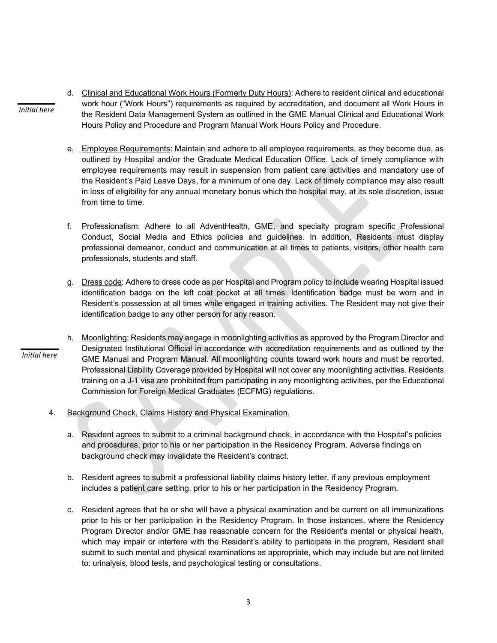- d. Clinical and Educational Work Hours (Formerly Duty Hours): Adhere to resident clinical and educational work hour ("Work Hours") requirements as required by accreditation, and document all Work Hours in the Resident Data Management System as outlined in the GME Manual Clinical and Educational Work Hours Policy and Procedure and Program Manual Work Hours Policy and Procedure.
	- e. Employee Requirements: Maintain and adhere to all employee requirements, as they become due, as outlined by Hospital and/or the Graduate Medical Education Office. Lack of timely compliance with employee requirements may result in suspension from patient care activities and mandatory use of the Resident's Paid Leave Days, for a minimum of one day. Lack of timely compliance may also result in loss of eligibility for any annual monetary bonus which the hospital may, at its sole discretion, issue from time to time.
	- f. Professionalism: Adhere to all AdventHealth, GME, and specialty program specific Professional Conduct, Social Media and Ethics policies and guidelines. In addition, Residents must display professional demeanor, conduct and communication at all times to patients, visitors, other health care professionals, students and staff.
	- g. Dress code: Adhere to dress code as per Hospital and Program policy to include wearing Hospital issued identification badge on the left coat pocket at all times. Identification badge must be worn and in Resident's possession at all times while engaged in training activities. The Resident may not give their identification badge to any other person for any reason.
- h. Moonlighting: Residents may engage in moonlighting activities as approved by the Program Director and Designated Institutional Official in accordance with accreditation requirements and as outlined by the GME Manual and Program Manual. All moonlighting counts toward work hours and must be reported. Professional Liability Coverage provided by Hospital will not cover any moonlighting activities. Residents training on a J-1 visa are prohibited from participating in any moonlighting activities, per the Educational Commission for Foreign Medical Graduates (ECFMG) regulations. Initial here
	- 4. Background Check, Claims History and Physical Examination.

Initial here

- a. Resident agrees to submit to a criminal background check, in accordance with the Hospital's policies and procedures, prior to his or her participation in the Residency Program. Adverse findings on background check may invalidate the Resident's contract.
- b. Resident agrees to submit a professional liability claims history letter, if any previous employment includes a patient care setting, prior to his or her participation in the Residency Program.
- c. Resident agrees that he or she will have a physical examination and be current on all immunizations prior to his or her participation in the Residency Program. In those instances, where the Residency Program Director and/or GME has reasonable concern for the Resident's mental or physical health, which may impair or interfere with the Resident's ability to participate in the program, Resident shall submit to such mental and physical examinations as appropriate, which may include but are not limited to: urinalysis, blood tests, and psychological testing or consultations.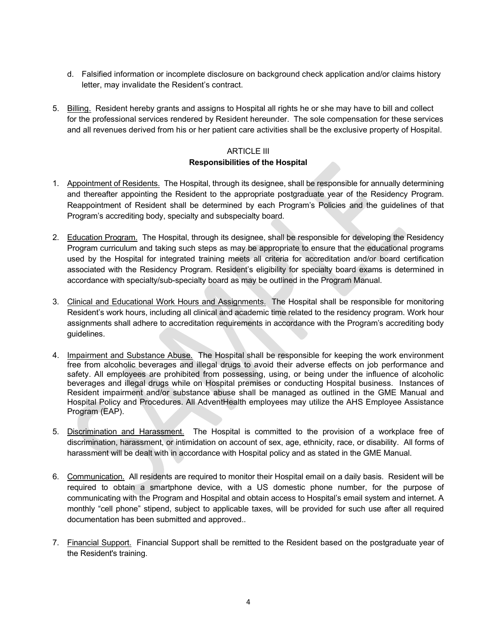- d. Falsified information or incomplete disclosure on background check application and/or claims history letter, may invalidate the Resident's contract.
- 5. Billing. Resident hereby grants and assigns to Hospital all rights he or she may have to bill and collect for the professional services rendered by Resident hereunder. The sole compensation for these services and all revenues derived from his or her patient care activities shall be the exclusive property of Hospital.

## ARTICLE III Responsibilities of the Hospital

- 1. Appointment of Residents. The Hospital, through its designee, shall be responsible for annually determining and thereafter appointing the Resident to the appropriate postgraduate year of the Residency Program. Reappointment of Resident shall be determined by each Program's Policies and the guidelines of that Program's accrediting body, specialty and subspecialty board.
- 2. Education Program. The Hospital, through its designee, shall be responsible for developing the Residency Program curriculum and taking such steps as may be appropriate to ensure that the educational programs used by the Hospital for integrated training meets all criteria for accreditation and/or board certification associated with the Residency Program. Resident's eligibility for specialty board exams is determined in accordance with specialty/sub-specialty board as may be outlined in the Program Manual.
- 3. Clinical and Educational Work Hours and Assignments. The Hospital shall be responsible for monitoring Resident's work hours, including all clinical and academic time related to the residency program. Work hour assignments shall adhere to accreditation requirements in accordance with the Program's accrediting body guidelines.
- 4. Impairment and Substance Abuse. The Hospital shall be responsible for keeping the work environment free from alcoholic beverages and illegal drugs to avoid their adverse effects on job performance and safety. All employees are prohibited from possessing, using, or being under the influence of alcoholic beverages and illegal drugs while on Hospital premises or conducting Hospital business. Instances of Resident impairment and/or substance abuse shall be managed as outlined in the GME Manual and Hospital Policy and Procedures. All AdventHealth employees may utilize the AHS Employee Assistance Program (EAP).
- 5. Discrimination and Harassment. The Hospital is committed to the provision of a workplace free of discrimination, harassment, or intimidation on account of sex, age, ethnicity, race, or disability. All forms of harassment will be dealt with in accordance with Hospital policy and as stated in the GME Manual.
- 6. Communication. All residents are required to monitor their Hospital email on a daily basis. Resident will be required to obtain a smartphone device, with a US domestic phone number, for the purpose of communicating with the Program and Hospital and obtain access to Hospital's email system and internet. A monthly "cell phone" stipend, subject to applicable taxes, will be provided for such use after all required documentation has been submitted and approved..
- 7. Financial Support. Financial Support shall be remitted to the Resident based on the postgraduate year of the Resident's training.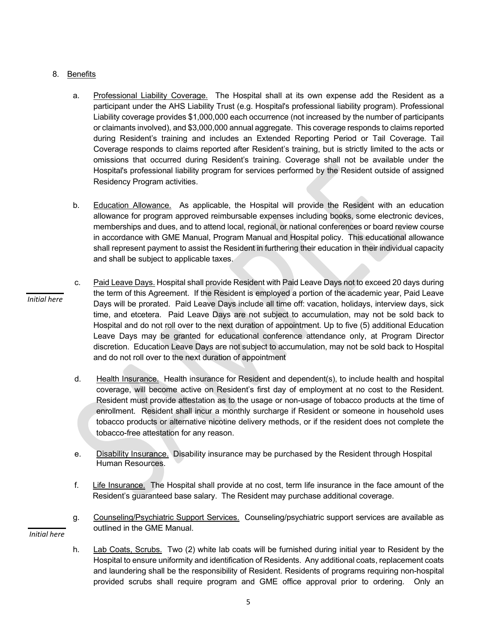### 8. Benefits

- a. Professional Liability Coverage. The Hospital shall at its own expense add the Resident as a participant under the AHS Liability Trust (e.g. Hospital's professional liability program). Professional Liability coverage provides \$1,000,000 each occurrence (not increased by the number of participants or claimants involved), and \$3,000,000 annual aggregate. This coverage responds to claims reported during Resident's training and includes an Extended Reporting Period or Tail Coverage. Tail Coverage responds to claims reported after Resident's training, but is strictly limited to the acts or omissions that occurred during Resident's training. Coverage shall not be available under the Hospital's professional liability program for services performed by the Resident outside of assigned Residency Program activities.
- b. Education Allowance. As applicable, the Hospital will provide the Resident with an education allowance for program approved reimbursable expenses including books, some electronic devices, memberships and dues, and to attend local, regional, or national conferences or board review course in accordance with GME Manual, Program Manual and Hospital policy. This educational allowance shall represent payment to assist the Resident in furthering their education in their individual capacity and shall be subject to applicable taxes.
- c. Paid Leave Days. Hospital shall provide Resident with Paid Leave Days not to exceed 20 days during the term of this Agreement. If the Resident is employed a portion of the academic year, Paid Leave Days will be prorated. Paid Leave Days include all time off: vacation, holidays, interview days, sick time, and etcetera. Paid Leave Days are not subject to accumulation, may not be sold back to Hospital and do not roll over to the next duration of appointment. Up to five (5) additional Education Leave Days may be granted for educational conference attendance only, at Program Director discretion. Education Leave Days are not subject to accumulation, may not be sold back to Hospital and do not roll over to the next duration of appointment Initial here
	- d. Health Insurance. Health insurance for Resident and dependent(s), to include health and hospital coverage, will become active on Resident's first day of employment at no cost to the Resident. Resident must provide attestation as to the usage or non-usage of tobacco products at the time of enrollment. Resident shall incur a monthly surcharge if Resident or someone in household uses tobacco products or alternative nicotine delivery methods, or if the resident does not complete the tobacco-free attestation for any reason.
	- e. Disability Insurance. Disability insurance may be purchased by the Resident through Hospital Human Resources.
	- f. Life Insurance. The Hospital shall provide at no cost, term life insurance in the face amount of the Resident's guaranteed base salary. The Resident may purchase additional coverage.
	- g. Counseling/Psychiatric Support Services. Counseling/psychiatric support services are available as outlined in the GME Manual.

Initial here

h. Lab Coats, Scrubs. Two (2) white lab coats will be furnished during initial year to Resident by the Hospital to ensure uniformity and identification of Residents. Any additional coats, replacement coats and laundering shall be the responsibility of Resident. Residents of programs requiring non-hospital provided scrubs shall require program and GME office approval prior to ordering. Only an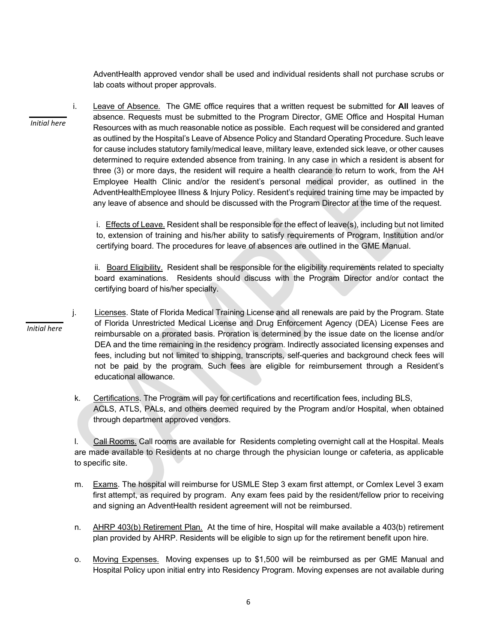AdventHealth approved vendor shall be used and individual residents shall not purchase scrubs or lab coats without proper approvals.

i. Leave of Absence. The GME office requires that a written request be submitted for All leaves of absence. Requests must be submitted to the Program Director, GME Office and Hospital Human Resources with as much reasonable notice as possible. Each request will be considered and granted as outlined by the Hospital's Leave of Absence Policy and Standard Operating Procedure. Such leave for cause includes statutory family/medical leave, military leave, extended sick leave, or other causes determined to require extended absence from training. In any case in which a resident is absent for three (3) or more days, the resident will require a health clearance to return to work, from the AH Employee Health Clinic and/or the resident's personal medical provider, as outlined in the AdventHealthEmployee Illness & Injury Policy. Resident's required training time may be impacted by any leave of absence and should be discussed with the Program Director at the time of the request. Initial here

> i. Effects of Leave. Resident shall be responsible for the effect of leave(s), including but not limited to, extension of training and his/her ability to satisfy requirements of Program, Institution and/or certifying board. The procedures for leave of absences are outlined in the GME Manual.

> ii. Board Eligibility. Resident shall be responsible for the eligibility requirements related to specialty board examinations. Residents should discuss with the Program Director and/or contact the certifying board of his/her specialty.

- j. Licenses. State of Florida Medical Training License and all renewals are paid by the Program. State of Florida Unrestricted Medical License and Drug Enforcement Agency (DEA) License Fees are reimbursable on a prorated basis. Proration is determined by the issue date on the license and/or DEA and the time remaining in the residency program. Indirectly associated licensing expenses and fees, including but not limited to shipping, transcripts, self-queries and background check fees will not be paid by the program. Such fees are eligible for reimbursement through a Resident's educational allowance.
	- k. Certifications. The Program will pay for certifications and recertification fees, including BLS, ACLS, ATLS, PALs, and others deemed required by the Program and/or Hospital, when obtained through department approved vendors.

l. Call Rooms. Call rooms are available for Residents completing overnight call at the Hospital. Meals are made available to Residents at no charge through the physician lounge or cafeteria, as applicable to specific site.

- m. Exams. The hospital will reimburse for USMLE Step 3 exam first attempt, or Comlex Level 3 exam first attempt, as required by program. Any exam fees paid by the resident/fellow prior to receiving and signing an AdventHealth resident agreement will not be reimbursed.
- n. AHRP 403(b) Retirement Plan. At the time of hire, Hospital will make available a 403(b) retirement plan provided by AHRP. Residents will be eligible to sign up for the retirement benefit upon hire.
- o. Moving Expenses. Moving expenses up to \$1,500 will be reimbursed as per GME Manual and Hospital Policy upon initial entry into Residency Program. Moving expenses are not available during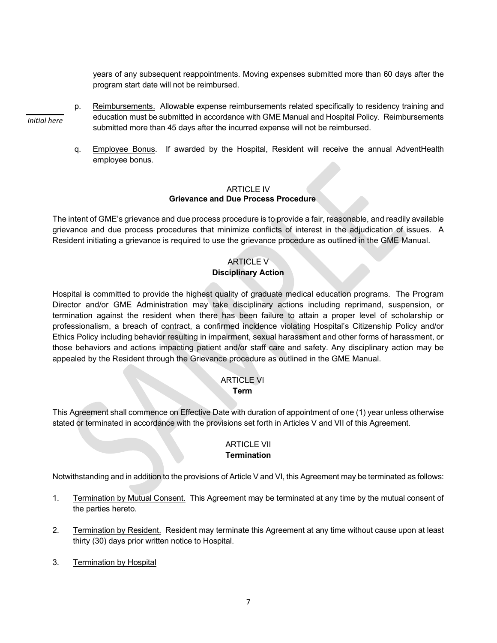years of any subsequent reappointments. Moving expenses submitted more than 60 days after the program start date will not be reimbursed.

- p. Reimbursements. Allowable expense reimbursements related specifically to residency training and education must be submitted in accordance with GME Manual and Hospital Policy. Reimbursements submitted more than 45 days after the incurred expense will not be reimbursed. Initial here
	- q. Employee Bonus. If awarded by the Hospital, Resident will receive the annual AdventHealth employee bonus.

#### ARTICLE IV Grievance and Due Process Procedure

The intent of GME's grievance and due process procedure is to provide a fair, reasonable, and readily available grievance and due process procedures that minimize conflicts of interest in the adjudication of issues. A Resident initiating a grievance is required to use the grievance procedure as outlined in the GME Manual.

# ARTICLE V Disciplinary Action

Hospital is committed to provide the highest quality of graduate medical education programs. The Program Director and/or GME Administration may take disciplinary actions including reprimand, suspension, or termination against the resident when there has been failure to attain a proper level of scholarship or professionalism, a breach of contract, a confirmed incidence violating Hospital's Citizenship Policy and/or Ethics Policy including behavior resulting in impairment, sexual harassment and other forms of harassment, or those behaviors and actions impacting patient and/or staff care and safety. Any disciplinary action may be appealed by the Resident through the Grievance procedure as outlined in the GME Manual.

# ARTICLE VI

### **Term Term**

This Agreement shall commence on Effective Date with duration of appointment of one (1) year unless otherwise stated or terminated in accordance with the provisions set forth in Articles V and VII of this Agreement.

# ARTICLE VII **Termination**

Notwithstanding and in addition to the provisions of Article V and VI, this Agreement may be terminated as follows:

- 1. Termination by Mutual Consent. This Agreement may be terminated at any time by the mutual consent of the parties hereto.
- 2. Termination by Resident. Resident may terminate this Agreement at any time without cause upon at least thirty (30) days prior written notice to Hospital.
- 3. Termination by Hospital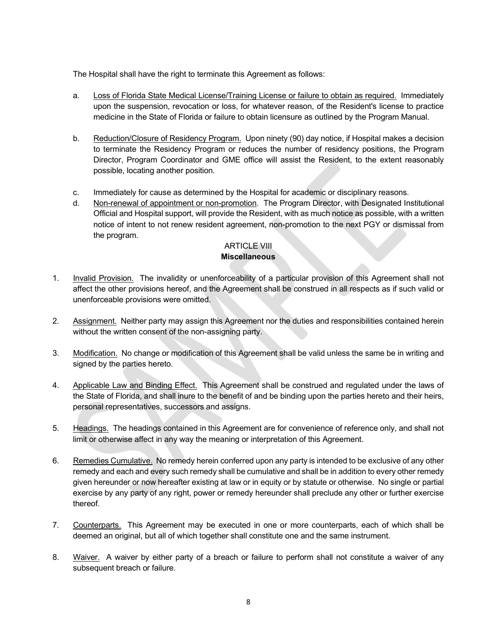The Hospital shall have the right to terminate this Agreement as follows:

- a. Loss of Florida State Medical License/Training License or failure to obtain as required. Immediately upon the suspension, revocation or loss, for whatever reason, of the Resident's license to practice medicine in the State of Florida or failure to obtain licensure as outlined by the Program Manual.
- b. Reduction/Closure of Residency Program. Upon ninety (90) day notice, if Hospital makes a decision to terminate the Residency Program or reduces the number of residency positions, the Program Director, Program Coordinator and GME office will assist the Resident, to the extent reasonably possible, locating another position.
- c. Immediately for cause as determined by the Hospital for academic or disciplinary reasons.
- d. Non-renewal of appointment or non-promotion. The Program Director, with Designated Institutional Official and Hospital support, will provide the Resident, with as much notice as possible, with a written notice of intent to not renew resident agreement, non-promotion to the next PGY or dismissal from the program.

# ARTICLE VIII

## **Miscellaneous**

- 1. Invalid Provision. The invalidity or unenforceability of a particular provision of this Agreement shall not affect the other provisions hereof, and the Agreement shall be construed in all respects as if such valid or unenforceable provisions were omitted.
- 2. Assignment. Neither party may assign this Agreement nor the duties and responsibilities contained herein without the written consent of the non-assigning party.
- 3. Modification. No change or modification of this Agreement shall be valid unless the same be in writing and signed by the parties hereto.
- 4. Applicable Law and Binding Effect. This Agreement shall be construed and regulated under the laws of the State of Florida, and shall inure to the benefit of and be binding upon the parties hereto and their heirs, personal representatives, successors and assigns.
- 5. Headings. The headings contained in this Agreement are for convenience of reference only, and shall not limit or otherwise affect in any way the meaning or interpretation of this Agreement.
- 6. Remedies Cumulative. No remedy herein conferred upon any party is intended to be exclusive of any other remedy and each and every such remedy shall be cumulative and shall be in addition to every other remedy given hereunder or now hereafter existing at law or in equity or by statute or otherwise. No single or partial exercise by any party of any right, power or remedy hereunder shall preclude any other or further exercise thereof.
- 7. Counterparts. This Agreement may be executed in one or more counterparts, each of which shall be deemed an original, but all of which together shall constitute one and the same instrument.
- 8. Waiver. A waiver by either party of a breach or failure to perform shall not constitute a waiver of any subsequent breach or failure.